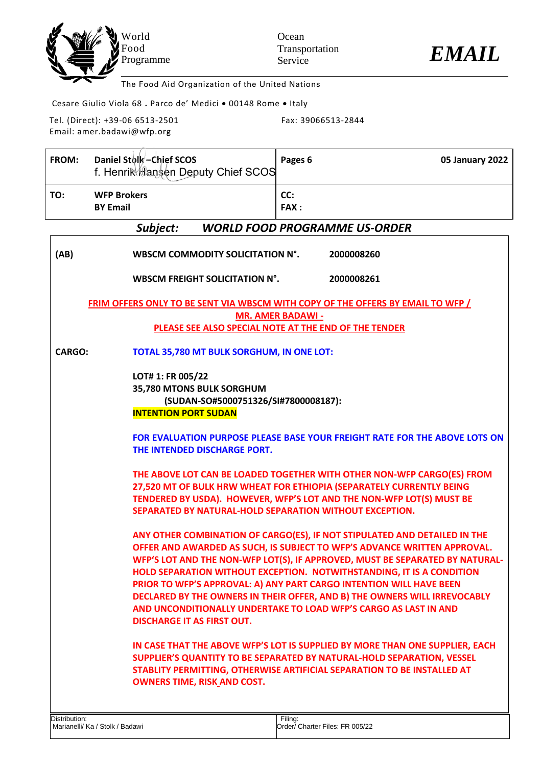



The Food Aid Organization of the United Nations

Cesare Giulio Viola 68 **.** Parco de' Medici • 00148 Rome • Italy

Tel. (Direct): +39-06 6513-2501 Email: amer.badawi@wfp.org

Fax: 39066513-2844

| FROM:                                                                                  | Daniel Stolk-Chief SCOS<br>f. Henrik Hansen Deputy Chief SCOS                                                         | Pages 6<br><b>05 January 2022</b>                                                                                                                                                                                                                                                                                                                                                                                                                                                                                                      |  |
|----------------------------------------------------------------------------------------|-----------------------------------------------------------------------------------------------------------------------|----------------------------------------------------------------------------------------------------------------------------------------------------------------------------------------------------------------------------------------------------------------------------------------------------------------------------------------------------------------------------------------------------------------------------------------------------------------------------------------------------------------------------------------|--|
| TO:                                                                                    | <b>WFP Brokers</b><br><b>BY Email</b>                                                                                 | CC:<br><b>FAX:</b>                                                                                                                                                                                                                                                                                                                                                                                                                                                                                                                     |  |
|                                                                                        | Subject:                                                                                                              | <b>WORLD FOOD PROGRAMME US-ORDER</b>                                                                                                                                                                                                                                                                                                                                                                                                                                                                                                   |  |
| (AB)                                                                                   | WBSCM COMMODITY SOLICITATION N°.<br>2000008260                                                                        |                                                                                                                                                                                                                                                                                                                                                                                                                                                                                                                                        |  |
|                                                                                        | WBSCM FREIGHT SOLICITATION N°.                                                                                        | 2000008261                                                                                                                                                                                                                                                                                                                                                                                                                                                                                                                             |  |
| <b>FRIM OFFERS ONLY TO BE SENT VIA WBSCM WITH COPY OF THE OFFERS BY EMAIL TO WFP /</b> |                                                                                                                       |                                                                                                                                                                                                                                                                                                                                                                                                                                                                                                                                        |  |
|                                                                                        |                                                                                                                       | <b>MR. AMER BADAWI -</b><br>PLEASE SEE ALSO SPECIAL NOTE AT THE END OF THE TENDER                                                                                                                                                                                                                                                                                                                                                                                                                                                      |  |
|                                                                                        |                                                                                                                       |                                                                                                                                                                                                                                                                                                                                                                                                                                                                                                                                        |  |
| <b>CARGO:</b>                                                                          | TOTAL 35,780 MT BULK SORGHUM, IN ONE LOT:                                                                             |                                                                                                                                                                                                                                                                                                                                                                                                                                                                                                                                        |  |
|                                                                                        | LOT# 1: FR 005/22<br>35,780 MTONS BULK SORGHUM<br>(SUDAN-SO#5000751326/SI#7800008187):<br><b>INTENTION PORT SUDAN</b> |                                                                                                                                                                                                                                                                                                                                                                                                                                                                                                                                        |  |
|                                                                                        | THE INTENDED DISCHARGE PORT.                                                                                          | <b>FOR EVALUATION PURPOSE PLEASE BASE YOUR FREIGHT RATE FOR THE ABOVE LOTS ON</b>                                                                                                                                                                                                                                                                                                                                                                                                                                                      |  |
|                                                                                        | SEPARATED BY NATURAL-HOLD SEPARATION WITHOUT EXCEPTION.                                                               | THE ABOVE LOT CAN BE LOADED TOGETHER WITH OTHER NON-WFP CARGO(ES) FROM<br>27,520 MT OF BULK HRW WHEAT FOR ETHIOPIA (SEPARATELY CURRENTLY BEING<br>TENDERED BY USDA). HOWEVER, WFP'S LOT AND THE NON-WFP LOT(S) MUST BE                                                                                                                                                                                                                                                                                                                 |  |
|                                                                                        | <b>DISCHARGE IT AS FIRST OUT.</b>                                                                                     | ANY OTHER COMBINATION OF CARGO(ES), IF NOT STIPULATED AND DETAILED IN THE<br>OFFER AND AWARDED AS SUCH, IS SUBJECT TO WFP'S ADVANCE WRITTEN APPROVAL.<br>WFP'S LOT AND THE NON-WFP LOT(S), IF APPROVED, MUST BE SEPARATED BY NATURAL-<br>HOLD SEPARATION WITHOUT EXCEPTION. NOTWITHSTANDING, IT IS A CONDITION<br>PRIOR TO WFP'S APPROVAL: A) ANY PART CARGO INTENTION WILL HAVE BEEN<br>DECLARED BY THE OWNERS IN THEIR OFFER, AND B) THE OWNERS WILL IRREVOCABLY<br>AND UNCONDITIONALLY UNDERTAKE TO LOAD WFP'S CARGO AS LAST IN AND |  |
|                                                                                        | <b>OWNERS TIME, RISK AND COST.</b>                                                                                    | IN CASE THAT THE ABOVE WFP'S LOT IS SUPPLIED BY MORE THAN ONE SUPPLIER, EACH<br>SUPPLIER'S QUANTITY TO BE SEPARATED BY NATURAL-HOLD SEPARATION, VESSEL<br>STABLITY PERMITTING, OTHERWISE ARTIFICIAL SEPARATION TO BE INSTALLED AT                                                                                                                                                                                                                                                                                                      |  |
| Distribution:                                                                          | Marianelli/ Ka / Stolk / Badawi                                                                                       | Filing:<br>Order/ Charter Files: FR 005/22                                                                                                                                                                                                                                                                                                                                                                                                                                                                                             |  |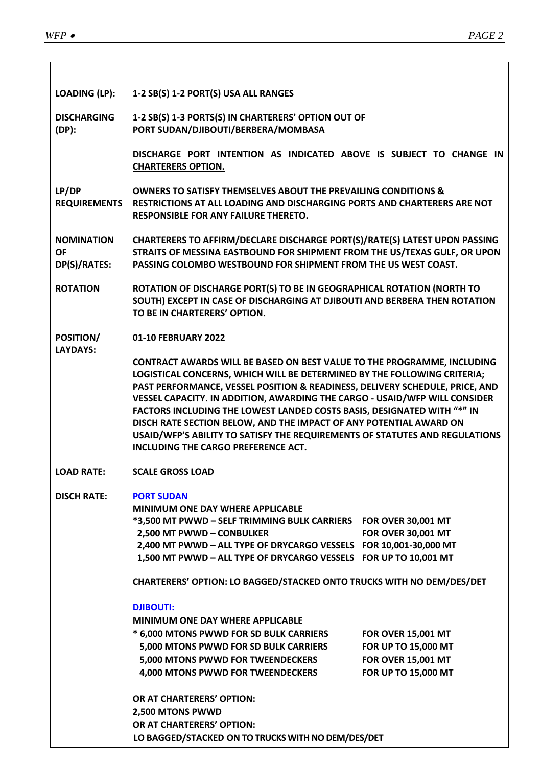| <b>LOADING (LP):</b>                           | 1-2 SB(S) 1-2 PORT(S) USA ALL RANGES                                                                                                                                                                                                                                                                                                                                                                                                                                                                                                                                                            |                                                                                                      |
|------------------------------------------------|-------------------------------------------------------------------------------------------------------------------------------------------------------------------------------------------------------------------------------------------------------------------------------------------------------------------------------------------------------------------------------------------------------------------------------------------------------------------------------------------------------------------------------------------------------------------------------------------------|------------------------------------------------------------------------------------------------------|
| <b>DISCHARGING</b><br>$(DP)$ :                 | 1-2 SB(S) 1-3 PORTS(S) IN CHARTERERS' OPTION OUT OF<br>PORT SUDAN/DJIBOUTI/BERBERA/MOMBASA                                                                                                                                                                                                                                                                                                                                                                                                                                                                                                      |                                                                                                      |
|                                                | DISCHARGE PORT INTENTION AS INDICATED ABOVE IS SUBJECT TO CHANGE IN<br><b>CHARTERERS OPTION.</b>                                                                                                                                                                                                                                                                                                                                                                                                                                                                                                |                                                                                                      |
| LP/DP<br><b>REQUIREMENTS</b>                   | <b>OWNERS TO SATISFY THEMSELVES ABOUT THE PREVAILING CONDITIONS &amp;</b><br>RESTRICTIONS AT ALL LOADING AND DISCHARGING PORTS AND CHARTERERS ARE NOT<br><b>RESPONSIBLE FOR ANY FAILURE THERETO.</b>                                                                                                                                                                                                                                                                                                                                                                                            |                                                                                                      |
| <b>NOMINATION</b><br><b>OF</b><br>DP(S)/RATES: | CHARTERERS TO AFFIRM/DECLARE DISCHARGE PORT(S)/RATE(S) LATEST UPON PASSING<br>STRAITS OF MESSINA EASTBOUND FOR SHIPMENT FROM THE US/TEXAS GULF, OR UPON<br>PASSING COLOMBO WESTBOUND FOR SHIPMENT FROM THE US WEST COAST.                                                                                                                                                                                                                                                                                                                                                                       |                                                                                                      |
| <b>ROTATION</b>                                | ROTATION OF DISCHARGE PORT(S) TO BE IN GEOGRAPHICAL ROTATION (NORTH TO<br>SOUTH) EXCEPT IN CASE OF DISCHARGING AT DJIBOUTI AND BERBERA THEN ROTATION<br>TO BE IN CHARTERERS' OPTION.                                                                                                                                                                                                                                                                                                                                                                                                            |                                                                                                      |
| POSITION/<br><b>LAYDAYS:</b>                   | 01-10 FEBRUARY 2022                                                                                                                                                                                                                                                                                                                                                                                                                                                                                                                                                                             |                                                                                                      |
|                                                | <b>CONTRACT AWARDS WILL BE BASED ON BEST VALUE TO THE PROGRAMME, INCLUDING</b><br>LOGISTICAL CONCERNS, WHICH WILL BE DETERMINED BY THE FOLLOWING CRITERIA;<br>PAST PERFORMANCE, VESSEL POSITION & READINESS, DELIVERY SCHEDULE, PRICE, AND<br>VESSEL CAPACITY. IN ADDITION, AWARDING THE CARGO - USAID/WFP WILL CONSIDER<br>FACTORS INCLUDING THE LOWEST LANDED COSTS BASIS, DESIGNATED WITH "*" IN<br>DISCH RATE SECTION BELOW, AND THE IMPACT OF ANY POTENTIAL AWARD ON<br>USAID/WFP'S ABILITY TO SATISFY THE REQUIREMENTS OF STATUTES AND REGULATIONS<br>INCLUDING THE CARGO PREFERENCE ACT. |                                                                                                      |
| <b>LOAD RATE:</b>                              | <b>SCALE GROSS LOAD</b>                                                                                                                                                                                                                                                                                                                                                                                                                                                                                                                                                                         |                                                                                                      |
| <b>DISCH RATE:</b>                             | <b>PORT SUDAN</b><br><b>MINIMUM ONE DAY WHERE APPLICABLE</b><br>*3,500 MT PWWD - SELF TRIMMING BULK CARRIERS    FOR OVER 30,001 MT<br>2,500 MT PWWD - CONBULKER<br>2,400 MT PWWD - ALL TYPE OF DRYCARGO VESSELS FOR 10,001-30,000 MT<br>1,500 MT PWWD - ALL TYPE OF DRYCARGO VESSELS FOR UP TO 10,001 MT                                                                                                                                                                                                                                                                                        | <b>FOR OVER 30,001 MT</b>                                                                            |
|                                                | CHARTERERS' OPTION: LO BAGGED/STACKED ONTO TRUCKS WITH NO DEM/DES/DET                                                                                                                                                                                                                                                                                                                                                                                                                                                                                                                           |                                                                                                      |
|                                                | <b>DJIBOUTI:</b><br><b>MINIMUM ONE DAY WHERE APPLICABLE</b><br>* 6,000 MTONS PWWD FOR SD BULK CARRIERS<br>5,000 MTONS PWWD FOR SD BULK CARRIERS<br>5,000 MTONS PWWD FOR TWEENDECKERS<br>4,000 MTONS PWWD FOR TWEENDECKERS                                                                                                                                                                                                                                                                                                                                                                       | <b>FOR OVER 15,001 MT</b><br>FOR UP TO 15,000 MT<br><b>FOR OVER 15,001 MT</b><br>FOR UP TO 15,000 MT |
|                                                | OR AT CHARTERERS' OPTION:<br>2,500 MTONS PWWD<br>OR AT CHARTERERS' OPTION:<br>LO BAGGED/STACKED ON TO TRUCKS WITH NO DEM/DES/DET                                                                                                                                                                                                                                                                                                                                                                                                                                                                |                                                                                                      |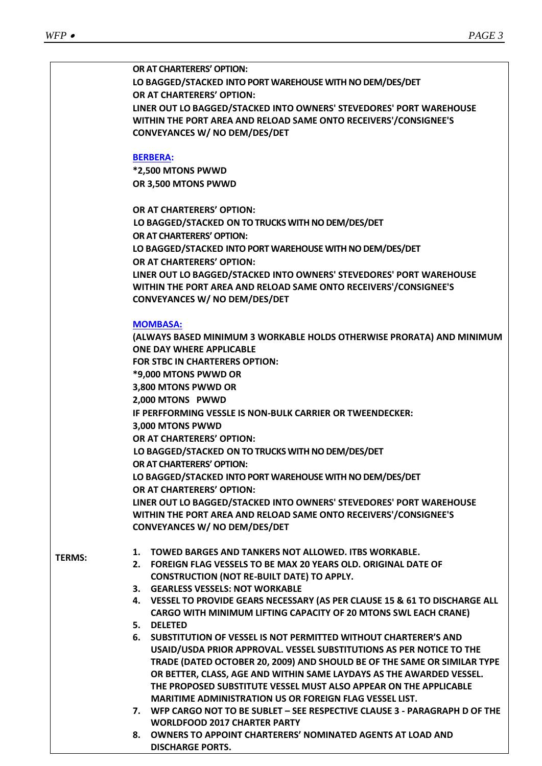|               | OR AT CHARTERERS' OPTION:                                                                                |
|---------------|----------------------------------------------------------------------------------------------------------|
|               | LO BAGGED/STACKED INTO PORT WAREHOUSE WITH NO DEM/DES/DET                                                |
|               | OR AT CHARTERERS' OPTION:                                                                                |
|               | LINER OUT LO BAGGED/STACKED INTO OWNERS' STEVEDORES' PORT WAREHOUSE                                      |
|               | WITHIN THE PORT AREA AND RELOAD SAME ONTO RECEIVERS'/CONSIGNEE'S                                         |
|               | <b>CONVEYANCES W/ NO DEM/DES/DET</b>                                                                     |
|               |                                                                                                          |
|               | <b>BERBERA:</b>                                                                                          |
|               | *2,500 MTONS PWWD                                                                                        |
|               | OR 3,500 MTONS PWWD                                                                                      |
|               |                                                                                                          |
|               | OR AT CHARTERERS' OPTION:                                                                                |
|               | LO BAGGED/STACKED ON TO TRUCKS WITH NO DEM/DES/DET                                                       |
|               | OR AT CHARTERERS' OPTION:                                                                                |
|               | LO BAGGED/STACKED INTO PORT WAREHOUSE WITH NO DEM/DES/DET                                                |
|               | OR AT CHARTERERS' OPTION:                                                                                |
|               |                                                                                                          |
|               | LINER OUT LO BAGGED/STACKED INTO OWNERS' STEVEDORES' PORT WAREHOUSE                                      |
|               | WITHIN THE PORT AREA AND RELOAD SAME ONTO RECEIVERS'/CONSIGNEE'S<br><b>CONVEYANCES W/ NO DEM/DES/DET</b> |
|               |                                                                                                          |
|               | <b>MOMBASA:</b>                                                                                          |
|               | (ALWAYS BASED MINIMUM 3 WORKABLE HOLDS OTHERWISE PRORATA) AND MINIMUM                                    |
|               | <b>ONE DAY WHERE APPLICABLE</b>                                                                          |
|               | <b>FOR STBC IN CHARTERERS OPTION:</b>                                                                    |
|               | *9,000 MTONS PWWD OR                                                                                     |
|               | 3,800 MTONS PWWD OR                                                                                      |
|               | 2,000 MTONS PWWD                                                                                         |
|               | IF PERFFORMING VESSLE IS NON-BULK CARRIER OR TWEENDECKER:                                                |
|               | 3,000 MTONS PWWD                                                                                         |
|               | OR AT CHARTERERS' OPTION:                                                                                |
|               | LO BAGGED/STACKED ON TO TRUCKS WITH NO DEM/DES/DET                                                       |
|               | OR AT CHARTERERS' OPTION:                                                                                |
|               | LO BAGGED/STACKED INTO PORT WAREHOUSE WITH NO DEM/DES/DET                                                |
|               | OR AT CHARTERERS' OPTION:                                                                                |
|               | LINER OUT LO BAGGED/STACKED INTO OWNERS' STEVEDORES' PORT WAREHOUSE                                      |
|               | WITHIN THE PORT AREA AND RELOAD SAME ONTO RECEIVERS'/CONSIGNEE'S                                         |
|               | CONVEYANCES W/ NO DEM/DES/DET                                                                            |
|               |                                                                                                          |
|               | TOWED BARGES AND TANKERS NOT ALLOWED. ITBS WORKABLE.<br>1.                                               |
| <b>TERMS:</b> | 2. FOREIGN FLAG VESSELS TO BE MAX 20 YEARS OLD. ORIGINAL DATE OF                                         |
|               | <b>CONSTRUCTION (NOT RE-BUILT DATE) TO APPLY.</b>                                                        |
|               | 3. GEARLESS VESSELS: NOT WORKABLE                                                                        |
|               | 4. VESSEL TO PROVIDE GEARS NECESSARY (AS PER CLAUSE 15 & 61 TO DISCHARGE ALL                             |
|               | CARGO WITH MINIMUM LIFTING CAPACITY OF 20 MTONS SWL EACH CRANE)                                          |
|               | 5. DELETED                                                                                               |
|               | SUBSTITUTION OF VESSEL IS NOT PERMITTED WITHOUT CHARTERER'S AND<br>6.                                    |
|               | USAID/USDA PRIOR APPROVAL. VESSEL SUBSTITUTIONS AS PER NOTICE TO THE                                     |
|               | TRADE (DATED OCTOBER 20, 2009) AND SHOULD BE OF THE SAME OR SIMILAR TYPE                                 |
|               | OR BETTER, CLASS, AGE AND WITHIN SAME LAYDAYS AS THE AWARDED VESSEL.                                     |
|               | THE PROPOSED SUBSTITUTE VESSEL MUST ALSO APPEAR ON THE APPLICABLE                                        |
|               | MARITIME ADMINISTRATION US OR FOREIGN FLAG VESSEL LIST.                                                  |
|               | 7. WFP CARGO NOT TO BE SUBLET - SEE RESPECTIVE CLAUSE 3 - PARAGRAPH D OF THE                             |
|               | <b>WORLDFOOD 2017 CHARTER PARTY</b>                                                                      |
|               | 8. OWNERS TO APPOINT CHARTERERS' NOMINATED AGENTS AT LOAD AND                                            |
|               | <b>DISCHARGE PORTS.</b>                                                                                  |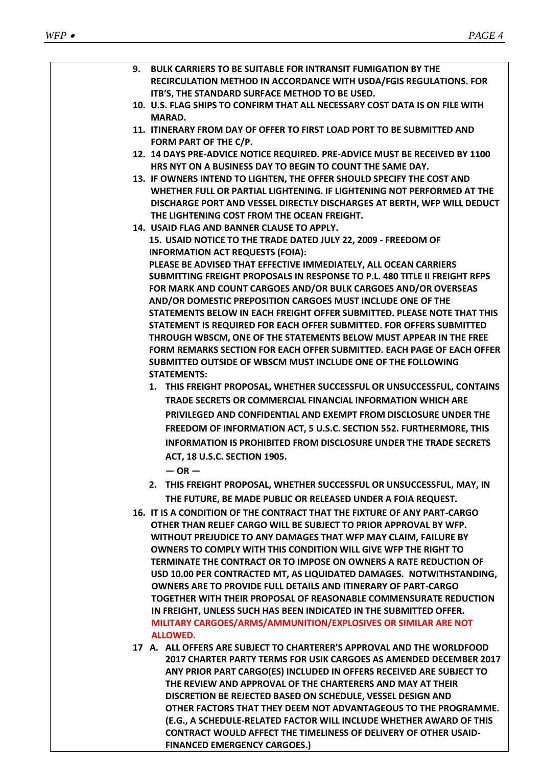| 9. BULK CARRIERS TO BE SUITABLE FOR INTRANSIT FUMIGATION BY THE<br>RECIRCULATION METHOD IN ACCORDANCE WITH USDA/FGIS REGULATIONS. FOR<br>ITB'S, THE STANDARD SURFACE METHOD TO BE USED.                                                                                                                                                                                                                                                                                                                                                                                                                                                                                                                                                   |
|-------------------------------------------------------------------------------------------------------------------------------------------------------------------------------------------------------------------------------------------------------------------------------------------------------------------------------------------------------------------------------------------------------------------------------------------------------------------------------------------------------------------------------------------------------------------------------------------------------------------------------------------------------------------------------------------------------------------------------------------|
| 10. U.S. FLAG SHIPS TO CONFIRM THAT ALL NECESSARY COST DATA IS ON FILE WITH<br><b>MARAD.</b>                                                                                                                                                                                                                                                                                                                                                                                                                                                                                                                                                                                                                                              |
| 11. ITINERARY FROM DAY OF OFFER TO FIRST LOAD PORT TO BE SUBMITTED AND<br>FORM PART OF THE C/P.                                                                                                                                                                                                                                                                                                                                                                                                                                                                                                                                                                                                                                           |
| 12. 14 DAYS PRE-ADVICE NOTICE REQUIRED. PRE-ADVICE MUST BE RECEIVED BY 1100<br>HRS NYT ON A BUSINESS DAY TO BEGIN TO COUNT THE SAME DAY.                                                                                                                                                                                                                                                                                                                                                                                                                                                                                                                                                                                                  |
| 13. IF OWNERS INTEND TO LIGHTEN, THE OFFER SHOULD SPECIFY THE COST AND<br>WHETHER FULL OR PARTIAL LIGHTENING. IF LIGHTENING NOT PERFORMED AT THE<br>DISCHARGE PORT AND VESSEL DIRECTLY DISCHARGES AT BERTH, WFP WILL DEDUCT<br>THE LIGHTENING COST FROM THE OCEAN FREIGHT.                                                                                                                                                                                                                                                                                                                                                                                                                                                                |
| 14. USAID FLAG AND BANNER CLAUSE TO APPLY.<br>15. USAID NOTICE TO THE TRADE DATED JULY 22, 2009 - FREEDOM OF<br><b>INFORMATION ACT REQUESTS (FOIA):</b><br>PLEASE BE ADVISED THAT EFFECTIVE IMMEDIATELY, ALL OCEAN CARRIERS                                                                                                                                                                                                                                                                                                                                                                                                                                                                                                               |
| SUBMITTING FREIGHT PROPOSALS IN RESPONSE TO P.L. 480 TITLE II FREIGHT RFPS<br>FOR MARK AND COUNT CARGOES AND/OR BULK CARGOES AND/OR OVERSEAS<br>AND/OR DOMESTIC PREPOSITION CARGOES MUST INCLUDE ONE OF THE<br>STATEMENTS BELOW IN EACH FREIGHT OFFER SUBMITTED. PLEASE NOTE THAT THIS                                                                                                                                                                                                                                                                                                                                                                                                                                                    |
| STATEMENT IS REQUIRED FOR EACH OFFER SUBMITTED. FOR OFFERS SUBMITTED<br>THROUGH WBSCM, ONE OF THE STATEMENTS BELOW MUST APPEAR IN THE FREE<br>FORM REMARKS SECTION FOR EACH OFFER SUBMITTED. EACH PAGE OF EACH OFFER                                                                                                                                                                                                                                                                                                                                                                                                                                                                                                                      |
| SUBMITTED OUTSIDE OF WBSCM MUST INCLUDE ONE OF THE FOLLOWING<br><b>STATEMENTS:</b><br>1. THIS FREIGHT PROPOSAL, WHETHER SUCCESSFUL OR UNSUCCESSFUL, CONTAINS                                                                                                                                                                                                                                                                                                                                                                                                                                                                                                                                                                              |
| <b>TRADE SECRETS OR COMMERCIAL FINANCIAL INFORMATION WHICH ARE</b><br>PRIVILEGED AND CONFIDENTIAL AND EXEMPT FROM DISCLOSURE UNDER THE                                                                                                                                                                                                                                                                                                                                                                                                                                                                                                                                                                                                    |
| FREEDOM OF INFORMATION ACT, 5 U.S.C. SECTION 552. FURTHERMORE, THIS<br><b>INFORMATION IS PROHIBITED FROM DISCLOSURE UNDER THE TRADE SECRETS</b>                                                                                                                                                                                                                                                                                                                                                                                                                                                                                                                                                                                           |
| ACT, 18 U.S.C. SECTION 1905.<br>$-$ OR $-$                                                                                                                                                                                                                                                                                                                                                                                                                                                                                                                                                                                                                                                                                                |
| 2. THIS FREIGHT PROPOSAL, WHETHER SUCCESSFUL OR UNSUCCESSFUL, MAY, IN<br>THE FUTURE, BE MADE PUBLIC OR RELEASED UNDER A FOIA REQUEST.                                                                                                                                                                                                                                                                                                                                                                                                                                                                                                                                                                                                     |
| 16. IT IS A CONDITION OF THE CONTRACT THAT THE FIXTURE OF ANY PART-CARGO<br>OTHER THAN RELIEF CARGO WILL BE SUBJECT TO PRIOR APPROVAL BY WFP.<br>WITHOUT PREJUDICE TO ANY DAMAGES THAT WFP MAY CLAIM, FAILURE BY<br>OWNERS TO COMPLY WITH THIS CONDITION WILL GIVE WFP THE RIGHT TO<br>TERMINATE THE CONTRACT OR TO IMPOSE ON OWNERS A RATE REDUCTION OF<br>USD 10.00 PER CONTRACTED MT, AS LIQUIDATED DAMAGES. NOTWITHSTANDING,<br><b>OWNERS ARE TO PROVIDE FULL DETAILS AND ITINERARY OF PART-CARGO</b><br>TOGETHER WITH THEIR PROPOSAL OF REASONABLE COMMENSURATE REDUCTION<br>IN FREIGHT, UNLESS SUCH HAS BEEN INDICATED IN THE SUBMITTED OFFER.<br>MILITARY CARGOES/ARMS/AMMUNITION/EXPLOSIVES OR SIMILAR ARE NOT<br><b>ALLOWED.</b> |
| 17 A. ALL OFFERS ARE SUBJECT TO CHARTERER'S APPROVAL AND THE WORLDFOOD<br>2017 CHARTER PARTY TERMS FOR USIK CARGOES AS AMENDED DECEMBER 2017<br>ANY PRIOR PART CARGO(ES) INCLUDED IN OFFERS RECEIVED ARE SUBJECT TO<br>THE REVIEW AND APPROVAL OF THE CHARTERERS AND MAY AT THEIR<br>DISCRETION BE REJECTED BASED ON SCHEDULE, VESSEL DESIGN AND<br>OTHER FACTORS THAT THEY DEEM NOT ADVANTAGEOUS TO THE PROGRAMME.                                                                                                                                                                                                                                                                                                                       |
| (E.G., A SCHEDULE-RELATED FACTOR WILL INCLUDE WHETHER AWARD OF THIS<br><b>CONTRACT WOULD AFFECT THE TIMELINESS OF DELIVERY OF OTHER USAID-</b><br><b>FINANCED EMERGENCY CARGOES.)</b>                                                                                                                                                                                                                                                                                                                                                                                                                                                                                                                                                     |
|                                                                                                                                                                                                                                                                                                                                                                                                                                                                                                                                                                                                                                                                                                                                           |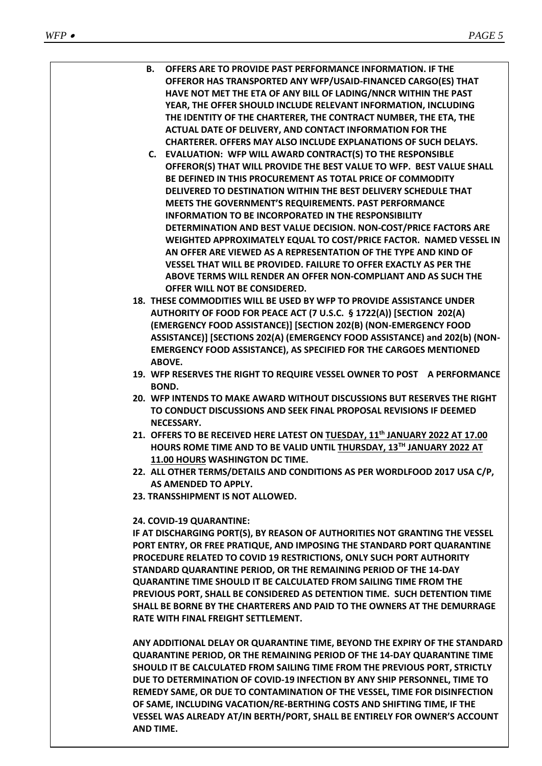